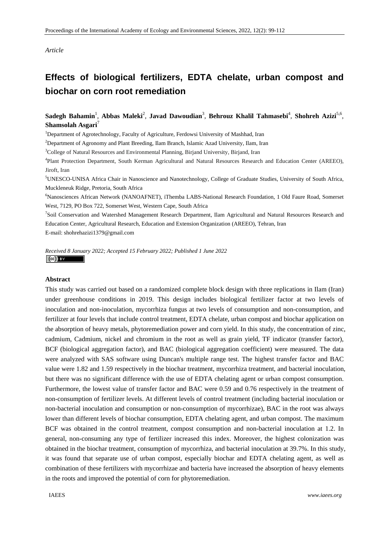#### *Article*

# **Effects of biological fertilizers, EDTA chelate, urban compost and biochar on corn root remediation**

# Sadegh Bahamin<sup>1</sup>, Abbas Maleki<sup>2</sup>, Javad Dawoudian<sup>3</sup>, Behrouz Khalil Tahmasebi<sup>4</sup>, Shohreh Azizi<sup>5,6</sup>, **Shamsolah Asgari**<sup>7</sup>

<sup>1</sup>Department of Agrotechnology, Faculty of Agriculture, Ferdowsi University of Mashhad, Iran

<sup>2</sup>Department of Agronomy and Plant Breeding, Ilam Branch, Islamic Azad University, Ilam, Iran

<sup>3</sup>College of Natural Resources and Environmental Planning, Birjand University, Birjand, Iran

4 Plant Protection Department, South Kerman Agricultural and Natural Resources Research and Education Center (AREEO), Jiroft, Iran

<sup>5</sup>UNESCO-UNISA Africa Chair in Nanoscience and Nanotechnology, College of Graduate Studies, University of South Africa, Muckleneuk Ridge, Pretoria, South Africa

6 Nanosciences African Network (NANOAFNET), iThemba LABS-National Research Foundation, 1 Old Faure Road, Somerset West, 7129, PO Box 722, Somerset West, Western Cape, South Africa

<sup>7</sup>Soil Conservation and Watershed Management Research Department, Ilam Agricultural and Natural Resources Research and Education Center, Agricultural Research, Education and Extension Organization (AREEO), Tehran, Iran E-mail: shohrehazizi1379@gmail.com

*Received 8 January 2022; Accepted 15 February 2022; Published 1 June 2022*   $\left(\mathrm{cc}\right)$  by

#### **Abstract**

This study was carried out based on a randomized complete block design with three replications in Ilam (Iran) under greenhouse conditions in 2019. This design includes biological fertilizer factor at two levels of inoculation and non-inoculation, mycorrhiza fungus at two levels of consumption and non-consumption, and fertilizer at four levels that include control treatment, EDTA chelate, urban compost and biochar application on the absorption of heavy metals, phytoremediation power and corn yield. In this study, the concentration of zinc, cadmium, Cadmium, nickel and chromium in the root as well as grain yield, TF indicator (transfer factor), BCF (biological aggregation factor), and BAC (biological aggregation coefficient) were measured. The data were analyzed with SAS software using Duncan's multiple range test. The highest transfer factor and BAC value were 1.82 and 1.59 respectively in the biochar treatment, mycorrhiza treatment, and bacterial inoculation, but there was no significant difference with the use of EDTA chelating agent or urban compost consumption. Furthermore, the lowest value of transfer factor and BAC were 0.59 and 0.76 respectively in the treatment of non-consumption of fertilizer levels. At different levels of control treatment (including bacterial inoculation or non-bacterial inoculation and consumption or non-consumption of mycorrhizae), BAC in the root was always lower than different levels of biochar consumption, EDTA chelating agent, and urban compost. The maximum BCF was obtained in the control treatment, compost consumption and non-bacterial inoculation at 1.2. In general, non-consuming any type of fertilizer increased this index. Moreover, the highest colonization was obtained in the biochar treatment, consumption of mycorrhiza, and bacterial inoculation at 39.7%. In this study, it was found that separate use of urban compost, especially biochar and EDTA chelating agent, as well as combination of these fertilizers with mycorrhizae and bacteria have increased the absorption of heavy elements in the roots and improved the potential of corn for phytoremediation.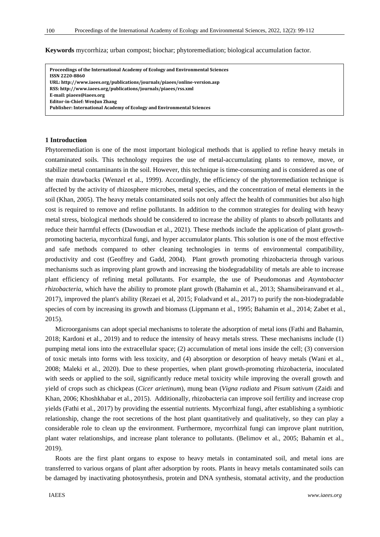**Keywords** mycorrhiza; urban compost; biochar; phytoremediation; biological accumulation factor.

**1 Introduction EditorinChief: WenJun Zhang Proceedings of the International Academy of Ecology and Environmental Sciences ISSN 22208860 URL: http://www.iaees.org/publications/journals/piaees/onlineversion.asp RSS: http://www.iaees.org/publications/journals/piaees/rss.xml Email: piaees@iaees.org Publisher: International Academy of Ecology and Environmental Sciences**

## **1 Introduction**

Phytoremediation is one of the most important biological methods that is applied to refine heavy metals in contaminated soils. This technology requires the use of metal-accumulating plants to remove, move, or stabilize metal contaminants in the soil. However, this technique is time-consuming and is considered as one of the main drawbacks (Wenzel et al., 1999). Accordingly, the efficiency of the phytoremediation technique is affected by the activity of rhizosphere microbes, metal species, and the concentration of metal elements in the soil (Khan, 2005). The heavy metals contaminated soils not only affect the health of communities but also high cost is required to remove and refine pollutants. In addition to the common strategies for dealing with heavy metal stress, biological methods should be considered to increase the ability of plants to absorb pollutants and reduce their harmful effects (Dawoudian et al., 2021). These methods include the application of plant growthpromoting bacteria, mycorrhizal fungi, and hyper accumulator plants. This solution is one of the most effective and safe methods compared to other cleaning technologies in terms of environmental compatibility, productivity and cost (Geoffrey and Gadd, 2004). Plant growth promoting rhizobacteria through various mechanisms such as improving plant growth and increasing the biodegradability of metals are able to increase plant efficiency of refining metal pollutants. For example, the use of Pseudomonas and *Asyntobacter rhizobacteria*, which have the ability to promote plant growth (Bahamin et al., 2013; Shamsibeiranvand et al., 2017), improved the plant's ability (Rezaei et al, 2015; Foladvand et al., 2017) to purify the non-biodegradable species of corn by increasing its growth and biomass (Lippmann et al., 1995; Bahamin et al., 2014; Zabet et al., 2015).

Microorganisms can adopt special mechanisms to tolerate the adsorption of metal ions (Fathi and Bahamin, 2018; Kardoni et al., 2019) and to reduce the intensity of heavy metals stress. These mechanisms include (1) pumping metal ions into the extracellular space; (2) accumulation of metal ions inside the cell; (3) conversion of toxic metals into forms with less toxicity, and (4) absorption or desorption of heavy metals (Wani et al., 2008; Maleki et al., 2020). Due to these properties, when plant growth-promoting rhizobacteria, inoculated with seeds or applied to the soil, significantly reduce metal toxicity while improving the overall growth and yield of crops such as chickpeas (*Cicer arietinum*), mung bean (*Vigna radiata* and *Pisum sativum* (Zaidi and Khan, 2006; Khoshkhabar et al., 2015). Additionally, rhizobacteria can improve soil fertility and increase crop yields (Fathi et al., 2017) by providing the essential nutrients. Mycorrhizal fungi, after establishing a symbiotic relationship, change the root secretions of the host plant quantitatively and qualitatively, so they can play a considerable role to clean up the environment. Furthermore, mycorrhizal fungi can improve plant nutrition, plant water relationships, and increase plant tolerance to pollutants. (Belimov et al., 2005; Bahamin et al., 2019).

Roots are the first plant organs to expose to heavy metals in contaminated soil, and metal ions are transferred to various organs of plant after adsorption by roots. Plants in heavy metals contaminated soils can be damaged by inactivating photosynthesis, protein and DNA synthesis, stomatal activity, and the production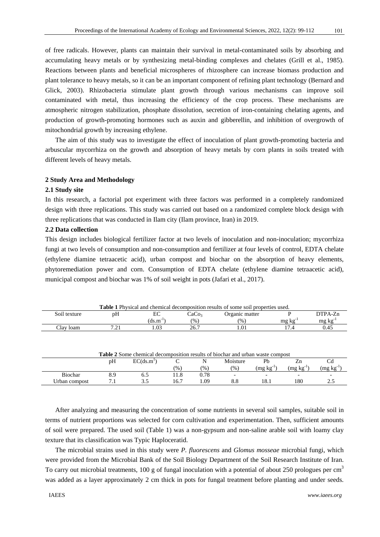of free radicals. However, plants can maintain their survival in metal-contaminated soils by absorbing and accumulating heavy metals or by synthesizing metal-binding complexes and chelates (Grill et al., 1985). Reactions between plants and beneficial microspheres of rhizosphere can increase biomass production and plant tolerance to heavy metals, so it can be an important component of refining plant technology (Bernard and Glick, 2003). Rhizobacteria stimulate plant growth through various mechanisms can improve soil contaminated with metal, thus increasing the efficiency of the crop process. These mechanisms are atmospheric nitrogen stabilization, phosphate dissolution, secretion of iron-containing chelating agents, and production of growth-promoting hormones such as auxin and gibberellin, and inhibition of overgrowth of mitochondrial growth by increasing ethylene.

The aim of this study was to investigate the effect of inoculation of plant growth-promoting bacteria and arbuscular mycorrhiza on the growth and absorption of heavy metals by corn plants in soils treated with different levels of heavy metals.

# **2 Study Area and Methodology**

#### **2.1 Study site**

In this research, a factorial pot experiment with three factors was performed in a completely randomized design with three replications. This study was carried out based on a randomized complete block design with three replications that was conducted in Ilam city (Ilam province, Iran) in 2019.

## **2.2 Data collection**

This design includes biological fertilizer factor at two levels of inoculation and non-inoculation; mycorrhiza fungi at two levels of consumption and non-consumption and fertilizer at four levels of control, EDTA chelate (ethylene diamine tetraacetic acid), urban compost and biochar on the absorption of heavy elements, phytoremediation power and corn. Consumption of EDTA chelate (ethylene diamine tetraacetic acid), municipal compost and biochar was 1% of soil weight in pots (Jafari et al., 2017).

| <b>Table 1</b> Physical and chemical decomposition results of some soil properties used. |                   |                      |       |                |               |                     |
|------------------------------------------------------------------------------------------|-------------------|----------------------|-------|----------------|---------------|---------------------|
| Soil texture                                                                             | рH                | EС                   | CaCo3 | Organic matter |               | DTPA-Zn             |
|                                                                                          |                   | $(d\text{s.m}^{-1})$ | (% )  | $\frac{9}{6}$  | mg kg         | mg kg <sup>-1</sup> |
| Clav loam                                                                                | $\bigcap$<br>$-1$ | l.03                 | 26.7  | 1.01           | $\mathcal{L}$ | 0.45                |

| <b>Table 2</b> Some chemical decomposition results of biochar and urban waste compost |    |                        |      |               |                          |                        |         |          |
|---------------------------------------------------------------------------------------|----|------------------------|------|---------------|--------------------------|------------------------|---------|----------|
|                                                                                       | pΗ | EC(ds.m <sup>1</sup> ) |      | N             | Moisture                 | Ph                     |         |          |
|                                                                                       |    |                        | (96) | $\frac{1}{2}$ | $\frac{9}{0}$            | $(mg \text{ kg}^{-1})$ | (mg kg- | (mg kg ' |
| <b>Biochar</b>                                                                        |    |                        | 1.8  | 0.78          | $\overline{\phantom{0}}$ |                        |         |          |
| Urban compost                                                                         |    |                        | 16.7 | .09           |                          |                        | 180     | <u>.</u> |

After analyzing and measuring the concentration of some nutrients in several soil samples, suitable soil in terms of nutrient proportions was selected for corn cultivation and experimentation. Then, sufficient amounts of soil were prepared. The used soil (Table 1) was a non-gypsum and non-saline arable soil with loamy clay texture that its classification was Typic Haploceratid.

The microbial strains used in this study were *P. fluorescens* and *Glomus mosseae* microbial fungi, which were provided from the Microbial Bank of the Soil Biology Department of the Soil Research Institute of Iran. To carry out microbial treatments, 100 g of fungal inoculation with a potential of about 250 prologues per cm<sup>3</sup> was added as a layer approximately 2 cm thick in pots for fungal treatment before planting and under seeds.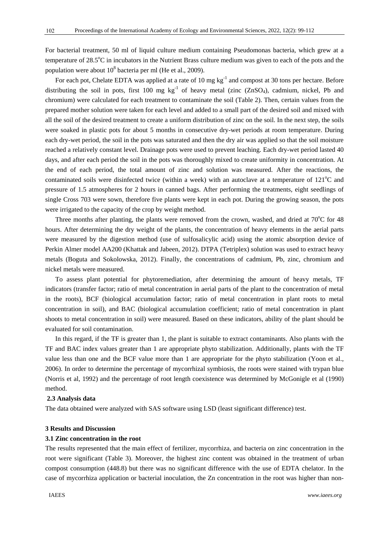For bacterial treatment, 50 ml of liquid culture medium containing Pseudomonas bacteria, which grew at a temperature of  $28.5^{\circ}$ C in incubators in the Nutrient Brass culture medium was given to each of the pots and the population were about  $10^8$  bacteria per ml (He et al., 2009).

For each pot, Chelate EDTA was applied at a rate of 10 mg kg<sup>-1</sup> and compost at 30 tons per hectare. Before distributing the soil in pots, first 100 mg  $kg^{-1}$  of heavy metal (zinc (ZnSO<sub>4</sub>), cadmium, nickel, Pb and chromium) were calculated for each treatment to contaminate the soil (Table 2). Then, certain values from the prepared mother solution were taken for each level and added to a small part of the desired soil and mixed with all the soil of the desired treatment to create a uniform distribution of zinc on the soil. In the next step, the soils were soaked in plastic pots for about 5 months in consecutive dry-wet periods at room temperature. During each dry-wet period, the soil in the pots was saturated and then the dry air was applied so that the soil moisture reached a relatively constant level. Drainage pots were used to prevent leaching. Each dry-wet period lasted 40 days, and after each period the soil in the pots was thoroughly mixed to create uniformity in concentration. At the end of each period, the total amount of zinc and solution was measured. After the reactions, the contaminated soils were disinfected twice (within a week) with an autoclave at a temperature of  $121^{\circ}$ C and pressure of 1.5 atmospheres for 2 hours in canned bags. After performing the treatments, eight seedlings of single Cross 703 were sown, therefore five plants were kept in each pot. During the growing season, the pots were irrigated to the capacity of the crop by weight method.

Three months after planting, the plants were removed from the crown, washed, and dried at  $70^{\circ}$ C for 48 hours. After determining the dry weight of the plants, the concentration of heavy elements in the aerial parts were measured by the digestion method (use of sulfosalicylic acid) using the atomic absorption device of Perkin Almer model AA200 (Khattak and Jabeen, 2012). DTPA (Tetriplex) solution was used to extract heavy metals (Boguta and Sokolowska, 2012). Finally, the concentrations of cadmium, Pb, zinc, chromium and nickel metals were measured.

To assess plant potential for phytoremediation, after determining the amount of heavy metals, TF indicators (transfer factor; ratio of metal concentration in aerial parts of the plant to the concentration of metal in the roots), BCF (biological accumulation factor; ratio of metal concentration in plant roots to metal concentration in soil), and BAC (biological accumulation coefficient; ratio of metal concentration in plant shoots to metal concentration in soil) were measured. Based on these indicators, ability of the plant should be evaluated for soil contamination.

In this regard, if the TF is greater than 1, the plant is suitable to extract contaminants. Also plants with the TF and BAC index values greater than 1 are appropriate phyto stabilization. Additionally, plants with the TF value less than one and the BCF value more than 1 are appropriate for the phyto stabilization (Yoon et al., 2006). In order to determine the percentage of mycorrhizal symbiosis, the roots were stained with trypan blue (Norris et al, 1992) and the percentage of root length coexistence was determined by McGonigle et al (1990) method.

#### **2.3 Analysis data**

The data obtained were analyzed with SAS software using LSD (least significant difference) test.

# **3 Results and Discussion**

#### **3.1 Zinc concentration in the root**

The results represented that the main effect of fertilizer, mycorrhiza, and bacteria on zinc concentration in the root were significant (Table 3). Moreover, the highest zinc content was obtained in the treatment of urban compost consumption (448.8) but there was no significant difference with the use of EDTA chelator. In the case of mycorrhiza application or bacterial inoculation, the Zn concentration in the root was higher than non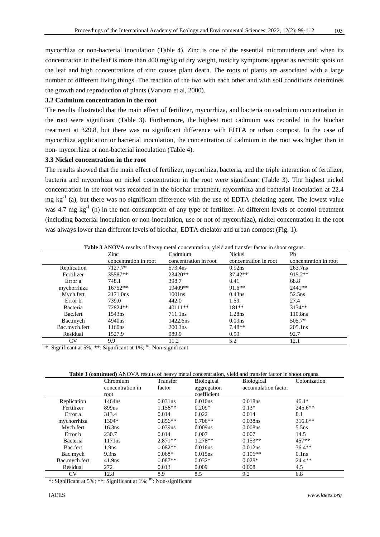mycorrhiza or non-bacterial inoculation (Table 4). Zinc is one of the essential micronutrients and when its concentration in the leaf is more than 400 mg/kg of dry weight, toxicity symptoms appear as necrotic spots on the leaf and high concentrations of zinc causes plant death. The roots of plants are associated with a large number of different living things. The reaction of the two with each other and with soil conditions determines the growth and reproduction of plants (Varvara et al, 2000).

#### **3.2 Cadmium concentration in the root**

The results illustrated that the main effect of fertilizer, mycorrhiza, and bacteria on cadmium concentration in the root were significant (Table 3). Furthermore, the highest root cadmium was recorded in the biochar treatment at 329.8, but there was no significant difference with EDTA or urban compost. In the case of mycorrhiza application or bacterial inoculation, the concentration of cadmium in the root was higher than in non- mycorrhiza or non-bacterial inoculation (Table 4).

#### **3.3 Nickel concentration in the root**

The results showed that the main effect of fertilizer, mycorrhiza, bacteria, and the triple interaction of fertilizer, bacteria and mycorrhiza on nickel concentration in the root were significant (Table 3). The highest nickel concentration in the root was recorded in the biochar treatment, mycorrhiza and bacterial inoculation at 22.4 mg  $kg^{-1}$  (a), but there was no significant difference with the use of EDTA chelating agent. The lowest value was 4.7 mg kg<sup>-1</sup> (h) in the non-consumption of any type of fertilizer. At different levels of control treatment (including bacterial inoculation or non-inoculation, use or not of mycorrhiza), nickel concentration in the root was always lower than different levels of biochar, EDTA chelator and urban compost (Fig. 1).

| <b>Table 3</b> ANOVA results of heavy metal concentration, yield and transfer factor in shoot organs. |                       |                       |                       |                       |  |  |
|-------------------------------------------------------------------------------------------------------|-----------------------|-----------------------|-----------------------|-----------------------|--|--|
|                                                                                                       | Zinc                  | Cadmium               | Nickel                | Ph                    |  |  |
|                                                                                                       | concentration in root | concentration in root | concentration in root | concentration in root |  |  |
| Replication                                                                                           | 7127.7*               | 573.4ns               | 0.92ns                | 263.7ns               |  |  |
| Fertilizer                                                                                            | 35587**               | $23420**$             | $37.42**$             | $915.2**$             |  |  |
| Error a                                                                                               | 748.1                 | 398.7                 | 0.41                  | 68.8                  |  |  |
| mychorrhiza                                                                                           | $16752**$             | 19409**               | $91.6**$              | $2441**$              |  |  |
| Mych.fert                                                                                             | 2171.0ns              | 1001ns                | $0.43$ ns             | 52.5 <sub>ns</sub>    |  |  |
| Error b                                                                                               | 739.0                 | 442.0                 | 1.59                  | 27.4                  |  |  |
| Bacteria                                                                                              | 72824**               | $40111**$             | $181**$               | $3134**$              |  |  |
| Bac.fert                                                                                              | 1543ns                | 711.1ns               | $1.28$ ns             | 110.8ns               |  |  |
| Bac.mych                                                                                              | 4940ns                | 1422.6ns              | 0.09 <sub>ns</sub>    | $505.7*$              |  |  |
| Bac.mych.fert                                                                                         | 1160 <sub>ns</sub>    | 200.3 <sub>ns</sub>   | $7.48**$              | $205.1$ ns            |  |  |
| Residual                                                                                              | 1527.9                | 989.9                 | 0.59                  | 92.7                  |  |  |
| CV                                                                                                    | 9.9                   | 11.2                  | 5.2                   | 12.1                  |  |  |

\*: Significant at 5%; \*\*: Significant at  $1\%$ ;  $^{ns}$ : Non-significant

**Table 3 (continued)** ANOVA results of heavy metal concentration, yield and transfer factor in shoot organs.

|               | Chromium           | Transfer   | <b>Biological</b>   | <b>Biological</b>   | Colonization      |
|---------------|--------------------|------------|---------------------|---------------------|-------------------|
|               | concentration in   | factor     | aggregation         | accumulation factor |                   |
|               | root               |            | coefficient         |                     |                   |
| Replication   | 1464ns             | $0.031$ ns | 0.010ns             | 0.018ns             | $46.1*$           |
| Fertilizer    | 899ns              | $1.158**$  | $0.209*$            | $0.13*$             | $245.6**$         |
| Error a       | 313.4              | 0.014      | 0.022               | 0.014               | 8.1               |
| mychorrhiza   | 1304*              | $0.856**$  | $0.706**$           | $0.038$ ns          | $316.0**$         |
| Mych.fert     | 16.3 <sub>ns</sub> | $0.039$ ns | 0.009 <sub>ns</sub> | $0.008$ ns          | $5.5$ ns          |
| Error b       | 230.7              | 0.014      | 0.007               | 0.007               | 14.5              |
| Bacteria      | 1171ns             | $2.871**$  | $1.278**$           | $0.153**$           | 457**             |
| Bac.fert      | 1.9 <sub>ns</sub>  | $0.082**$  | 0.016ns             | 0.012ns             | $36.4**$          |
| Bac.mych      | 9.3 <sub>ns</sub>  | $0.068*$   | 0.015ns             | $0.106**$           | 0.1 <sub>ns</sub> |
| Bac.mych.fert | 41.9 <sub>ns</sub> | $0.087**$  | $0.032*$            | $0.028*$            | $24.4**$          |
| Residual      | 272                | 0.013      | 0.009               | 0.008               | 4.5               |
| <b>CV</b>     | 12.8               | 8.9        | 8.5                 | 9.2                 | 6.8               |

\*: Significant at 5%; \*\*: Significant at  $1\%$ ;  $\mathrm{^{ns}}$ : Non-significant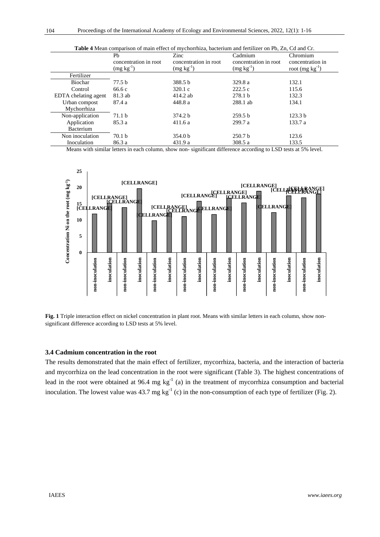| <b>Table 4</b> Mean comparison of main effect of mychorrhiza, bacterium and fertilizer on Pb, Zn, Cd and Cr. |                                                  |                       |                       |                     |  |  |
|--------------------------------------------------------------------------------------------------------------|--------------------------------------------------|-----------------------|-----------------------|---------------------|--|--|
|                                                                                                              | Ph                                               | Zinc                  | Cadmium               | Chromium            |  |  |
|                                                                                                              | concentration in root                            | concentration in root | concentration in root | concentration in    |  |  |
|                                                                                                              | $\left(\frac{\text{mg}}{\text{kg}t}\right)^{-1}$ | $(mg kg^{-1})$        | $(mg kg-1)$           | root $(mg kg^{-1})$ |  |  |
| Fertilizer                                                                                                   |                                                  |                       |                       |                     |  |  |
| Biochar                                                                                                      | 77.5 b                                           | 388.5 b               | 329.8 a               | 132.1               |  |  |
| Control                                                                                                      | 66.6 c                                           | 320.1 c               | 222.5c                | 115.6               |  |  |
| EDTA chelating agent                                                                                         | 81.3 ab                                          | 414.2 ab              | 278.1 <sub>b</sub>    | 132.3               |  |  |
| Urban compost                                                                                                | 87.4 a                                           | 448.8 a               | 288.1 ab              | 134.1               |  |  |
| Mychorrhiza                                                                                                  |                                                  |                       |                       |                     |  |  |
| Non-application                                                                                              | 71.1 <sub>b</sub>                                | 374.2 b               | 259.5 <sub>b</sub>    | 123.3 <sub>b</sub>  |  |  |
| Application                                                                                                  | 85.3 a                                           | 411.6a                | 299.7a                | 133.7 a             |  |  |
| Bacterium                                                                                                    |                                                  |                       |                       |                     |  |  |
| Non inoculation                                                                                              | 70.1 <sub>b</sub>                                | 354.0 <sub>b</sub>    | 250.7 <sub>b</sub>    | 123.6               |  |  |
| Inoculation                                                                                                  | 86.3 a                                           | 431.9a                | 308.5a                | 133.5               |  |  |

Means with similar letters in each column, show non- significant difference according to LSD tests at 5% level.



**Fig. 1** Triple interaction effect on nickel concentration in plant root. Means with similar letters in each column, show nonsignificant difference according to LSD tests at 5% level.

#### **3.4 Cadmium concentration in the root**

The results demonstrated that the main effect of fertilizer, mycorrhiza, bacteria, and the interaction of bacteria and mycorrhiza on the lead concentration in the root were significant (Table 3). The highest concentrations of lead in the root were obtained at 96.4 mg  $kg^{-1}$  (a) in the treatment of mycorrhiza consumption and bacterial inoculation. The lowest value was  $43.7 \text{ mg kg}^{-1}$  (c) in the non-consumption of each type of fertilizer (Fig. 2).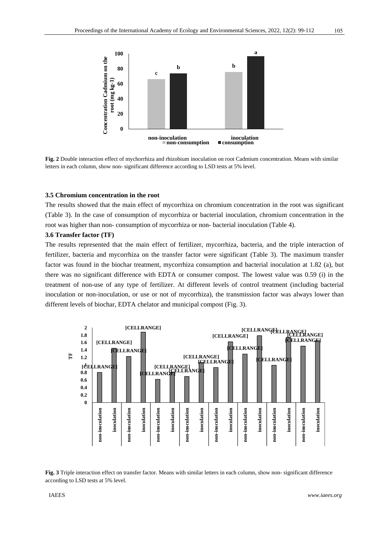

**Fig. 2** Double interaction effect of mychorrhiza and rhizobium inoculation on root Cadmium concentration. Means with similar letters in each column, show non- significant difference according to LSD tests at 5% level.

#### **3.5 Chromium concentration in the root**

The results showed that the main effect of mycorrhiza on chromium concentration in the root was significant (Table 3). In the case of consumption of mycorrhiza or bacterial inoculation, chromium concentration in the root was higher than non- consumption of mycorrhiza or non- bacterial inoculation (Table 4).

## **3.6 Transfer factor (TF)**

The results represented that the main effect of fertilizer, mycorrhiza, bacteria, and the triple interaction of fertilizer, bacteria and mycorrhiza on the transfer factor were significant (Table 3). The maximum transfer factor was found in the biochar treatment, mycorrhiza consumption and bacterial inoculation at 1.82 (a), but there was no significant difference with EDTA or consumer compost. The lowest value was 0.59 (i) in the treatment of non-use of any type of fertilizer. At different levels of control treatment (including bacterial inoculation or non-inoculation, or use or not of mycorrhiza), the transmission factor was always lower than different levels of biochar, EDTA chelator and municipal compost (Fig. 3).



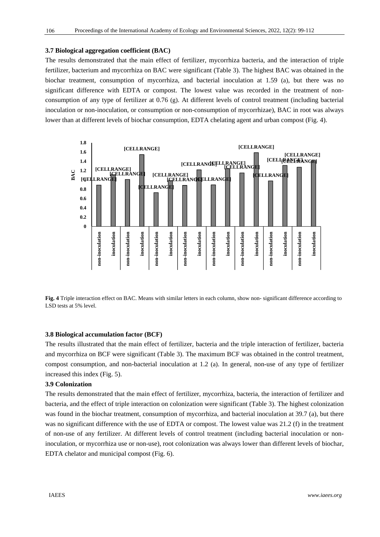## **3.7 Biological aggregation coefficient (BAC)**

The results demonstrated that the main effect of fertilizer, mycorrhiza bacteria, and the interaction of triple fertilizer, bacterium and mycorrhiza on BAC were significant (Table 3). The highest BAC was obtained in the biochar treatment, consumption of mycorrhiza, and bacterial inoculation at 1.59 (a), but there was no significant difference with EDTA or compost. The lowest value was recorded in the treatment of nonconsumption of any type of fertilizer at 0.76 (g). At different levels of control treatment (including bacterial inoculation or non-inoculation, or consumption or non-consumption of mycorrhizae), BAC in root was always lower than at different levels of biochar consumption, EDTA chelating agent and urban compost (Fig. 4).



**Fig. 4** Triple interaction effect on BAC. Means with similar letters in each column, show non- significant difference according to LSD tests at 5% level.

#### **3.8 Biological accumulation factor (BCF)**

The results illustrated that the main effect of fertilizer, bacteria and the triple interaction of fertilizer, bacteria and mycorrhiza on BCF were significant (Table 3). The maximum BCF was obtained in the control treatment, compost consumption, and non-bacterial inoculation at 1.2 (a). In general, non-use of any type of fertilizer increased this index (Fig. 5).

#### **3.9 Colonization**

The results demonstrated that the main effect of fertilizer, mycorrhiza, bacteria, the interaction of fertilizer and bacteria, and the effect of triple interaction on colonization were significant (Table 3). The highest colonization was found in the biochar treatment, consumption of mycorrhiza, and bacterial inoculation at 39.7 (a), but there was no significant difference with the use of EDTA or compost. The lowest value was 21.2 (f) in the treatment of non-use of any fertilizer. At different levels of control treatment (including bacterial inoculation or noninoculation, or mycorrhiza use or non-use), root colonization was always lower than different levels of biochar, EDTA chelator and municipal compost (Fig. 6).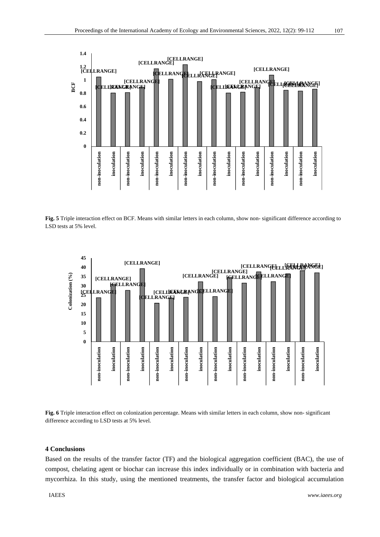

**Fig. 5** Triple interaction effect on BCF. Means with similar letters in each column, show non- significant difference according to LSD tests at 5% level.



**Fig. 6** Triple interaction effect on colonization percentage. Means with similar letters in each column, show non- significant difference according to LSD tests at 5% level.

## **4 Conclusions**

Based on the results of the transfer factor (TF) and the biological aggregation coefficient (BAC), the use of compost, chelating agent or biochar can increase this index individually or in combination with bacteria and mycorrhiza. In this study, using the mentioned treatments, the transfer factor and biological accumulation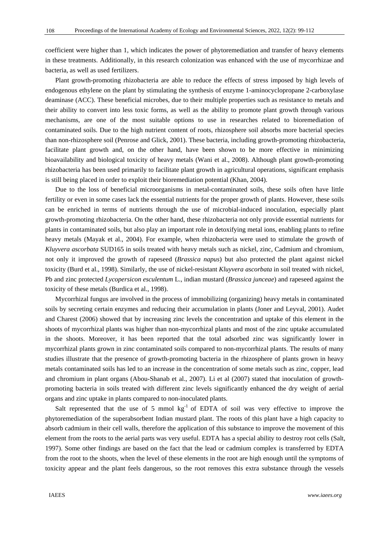coefficient were higher than 1, which indicates the power of phytoremediation and transfer of heavy elements in these treatments. Additionally, in this research colonization was enhanced with the use of mycorrhizae and bacteria, as well as used fertilizers.

Plant growth-promoting rhizobacteria are able to reduce the effects of stress imposed by high levels of endogenous ethylene on the plant by stimulating the synthesis of enzyme 1-aminocyclopropane 2-carboxylase deaminase (ACC). These beneficial microbes, due to their multiple properties such as resistance to metals and their ability to convert into less toxic forms, as well as the ability to promote plant growth through various mechanisms, are one of the most suitable options to use in researches related to bioremediation of contaminated soils. Due to the high nutrient content of roots, rhizosphere soil absorbs more bacterial species than non-rhizosphere soil (Penrose and Glick, 2001). These bacteria, including growth-promoting rhizobacteria, facilitate plant growth and, on the other hand, have been shown to be more effective in minimizing bioavailability and biological toxicity of heavy metals (Wani et al., 2008). Although plant growth-promoting rhizobacteria has been used primarily to facilitate plant growth in agricultural operations, significant emphasis is still being placed in order to exploit their bioremediation potential (Khan, 2004).

Due to the loss of beneficial microorganisms in metal-contaminated soils, these soils often have little fertility or even in some cases lack the essential nutrients for the proper growth of plants. However, these soils can be enriched in terms of nutrients through the use of microbial-induced inoculation, especially plant growth-promoting rhizobacteria. On the other hand, these rhizobacteria not only provide essential nutrients for plants in contaminated soils, but also play an important role in detoxifying metal ions, enabling plants to refine heavy metals (Mayak et al., 2004). For example, when rhizobacteria were used to stimulate the growth of *Kluyvera ascorbata* SUD165 in soils treated with heavy metals such as nickel, zinc, Cadmium and chromium, not only it improved the growth of rapeseed (*Brassica napus*) but also protected the plant against nickel toxicity (Burd et al., 1998). Similarly, the use of nickel-resistant *Kluyvera ascorbata* in soil treated with nickel, Pb and zinc protected *Lycopersicon esculentum* L., indian mustard (*Brassica junceae*) and rapeseed against the toxicity of these metals (Burdica et al., 1998).

Mycorrhizal fungus are involved in the process of immobilizing (organizing) heavy metals in contaminated soils by secreting certain enzymes and reducing their accumulation in plants (Joner and Leyval, 2001). Audet and Charest (2006) showed that by increasing zinc levels the concentration and uptake of this element in the shoots of mycorrhizal plants was higher than non-mycorrhizal plants and most of the zinc uptake accumulated in the shoots. Moreover, it has been reported that the total adsorbed zinc was significantly lower in mycorrhizal plants grown in zinc contaminated soils compared to non-mycorrhizal plants. The results of many studies illustrate that the presence of growth-promoting bacteria in the rhizosphere of plants grown in heavy metals contaminated soils has led to an increase in the concentration of some metals such as zinc, copper, lead and chromium in plant organs (Abou-Shanab et al., 2007). Li et al (2007) stated that inoculation of growthpromoting bacteria in soils treated with different zinc levels significantly enhanced the dry weight of aerial organs and zinc uptake in plants compared to non-inoculated plants.

Salt represented that the use of 5 mmol  $kg^{-1}$  of EDTA of soil was very effective to improve the phytoremediation of the superabsorbent Indian mustard plant. The roots of this plant have a high capacity to absorb cadmium in their cell walls, therefore the application of this substance to improve the movement of this element from the roots to the aerial parts was very useful. EDTA has a special ability to destroy root cells (Salt, 1997). Some other findings are based on the fact that the lead or cadmium complex is transferred by EDTA from the root to the shoots, when the level of these elements in the root are high enough until the symptoms of toxicity appear and the plant feels dangerous, so the root removes this extra substance through the vessels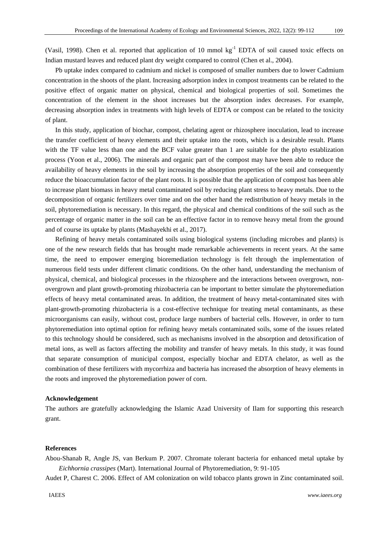(Vasil, 1998). Chen et al. reported that application of 10 mmol kg<sup>-1</sup> EDTA of soil caused toxic effects on Indian mustard leaves and reduced plant dry weight compared to control (Chen et al., 2004).

Pb uptake index compared to cadmium and nickel is composed of smaller numbers due to lower Cadmium concentration in the shoots of the plant. Increasing adsorption index in compost treatments can be related to the positive effect of organic matter on physical, chemical and biological properties of soil. Sometimes the concentration of the element in the shoot increases but the absorption index decreases. For example, decreasing absorption index in treatments with high levels of EDTA or compost can be related to the toxicity of plant.

In this study, application of biochar, compost, chelating agent or rhizosphere inoculation, lead to increase the transfer coefficient of heavy elements and their uptake into the roots, which is a desirable result. Plants with the TF value less than one and the BCF value greater than 1 are suitable for the phyto establization process (Yoon et al., 2006). The minerals and organic part of the compost may have been able to reduce the availability of heavy elements in the soil by increasing the absorption properties of the soil and consequently reduce the bioaccumulation factor of the plant roots. It is possible that the application of compost has been able to increase plant biomass in heavy metal contaminated soil by reducing plant stress to heavy metals. Due to the decomposition of organic fertilizers over time and on the other hand the redistribution of heavy metals in the soil, phytoremediation is necessary. In this regard, the physical and chemical conditions of the soil such as the percentage of organic matter in the soil can be an effective factor in to remove heavy metal from the ground and of course its uptake by plants (Mashayekhi et al., 2017).

Refining of heavy metals contaminated soils using biological systems (including microbes and plants) is one of the new research fields that has brought made remarkable achievements in recent years. At the same time, the need to empower emerging bioremediation technology is felt through the implementation of numerous field tests under different climatic conditions. On the other hand, understanding the mechanism of physical, chemical, and biological processes in the rhizosphere and the interactions between overgrown, nonovergrown and plant growth-promoting rhizobacteria can be important to better simulate the phytoremediation effects of heavy metal contaminated areas. In addition, the treatment of heavy metal-contaminated sites with plant-growth-promoting rhizobacteria is a cost-effective technique for treating metal contaminants, as these microorganisms can easily, without cost, produce large numbers of bacterial cells. However, in order to turn phytoremediation into optimal option for refining heavy metals contaminated soils, some of the issues related to this technology should be considered, such as mechanisms involved in the absorption and detoxification of metal ions, as well as factors affecting the mobility and transfer of heavy metals. In this study, it was found that separate consumption of municipal compost, especially biochar and EDTA chelator, as well as the combination of these fertilizers with mycorrhiza and bacteria has increased the absorption of heavy elements in the roots and improved the phytoremediation power of corn.

#### **Acknowledgement**

The authors are gratefully acknowledging the Islamic Azad University of Ilam for supporting this research grant.

#### **References**

Abou-Shanab R, Angle JS, van Berkum P. 2007. Chromate tolerant bacteria for enhanced metal uptake by *Eichhornia crassipes* (Mart). International Journal of Phytoremediation, 9: 91-105

Audet P, Charest C. 2006. Effect of AM colonization on wild tobacco plants grown in Zinc contaminated soil.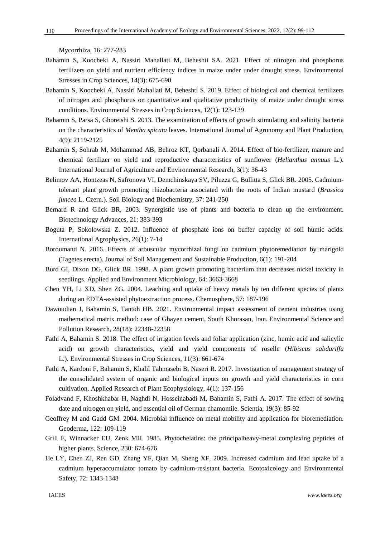Mycorrhiza, 16: 277-283

110

- Bahamin S, Koocheki A, Nassiri Mahallati M, Beheshti SA. 2021. Effect of nitrogen and phosphorus fertilizers on yield and nutrient efficiency indices in maize under under drought stress. Environmental Stresses in Crop Sciences, 14(3): 675-690
- Bahamin S, Koocheki A, Nassiri Mahallati M, Beheshti S. 2019. Effect of biological and chemical fertilizers of nitrogen and phosphorus on quantitative and qualitative productivity of maize under drought stress conditions. Environmental Stresses in Crop Sciences, 12(1): 123-139
- Bahamin S, Parsa S, Ghoreishi S. 2013. The examination of effects of growth stimulating and salinity bacteria on the characteristics of *Mentha spicata* leaves. International Journal of Agronomy and Plant Production, 4(9): 2119-2125
- Bahamin S, Sohrab M, Mohammad AB, Behroz KT, Qorbanali A. 2014. Effect of bio-fertilizer, manure and chemical fertilizer on yield and reproductive characteristics of sunflower (*Helianthus annuus* L.). International Journal of Agriculture and Environmental Research, 3(1): 36-43
- Belimov AA, Hontzeas N, Safronova VI, Demchinskaya SV, Piluzza G, Bullitta S, Glick BR. 2005. Cadmiumtolerant plant growth promoting rhizobacteria associated with the roots of Indian mustard (*Brassica juncea* L. Czern.). Soil Biology and Biochemistry, 37: 241-250
- Bernard R and Glick BR, 2003. Synergistic use of plants and bacteria to clean up the environment. Biotechnology Advances, 21: 383-393
- Boguta P, Sokolowska Z. 2012. Influence of phosphate ions on buffer capacity of soil humic acids. International Agrophysics, 26(1): 7-14
- Boroumand N. 2016. Effects of arbuscular mycorrhizal fungi on cadmium phytoremediation by marigold (Tagetes erecta). Journal of Soil Management and Sustainable Production, 6(1): 191-204
- Burd GI, Dixon DG, Glick BR. 1998. A plant growth promoting bacterium that decreases nickel toxicity in seedlings. Applied and Environment Microbiology, 64: 3663-3668
- Chen YH, Li XD, Shen ZG. 2004. Leaching and uptake of heavy metals by ten different species of plants during an EDTA-assisted phytoextraction process. Chemosphere, 57: 187-196
- Dawoudian J, Bahamin S, Tantoh HB. 2021. Environmental impact assessment of cement industries using mathematical matrix method: case of Ghayen cement, South Khorasan, Iran. Environmental Science and Pollution Research, 28(18): 22348-22358
- Fathi A, Bahamin S. 2018. The effect of irrigation levels and foliar application (zinc, humic acid and salicylic acid) on growth characteristics, yield and yield components of roselle (*Hibiscus sabdariffa*  L.). Environmental Stresses in Crop Sciences, 11(3): 661-674
- Fathi A, Kardoni F, Bahamin S, Khalil Tahmasebi B, Naseri R. 2017. Investigation of management strategy of the consolidated system of organic and biological inputs on growth and yield characteristics in corn cultivation. Applied Research of Plant Ecophysiology, 4(1): 137-156
- Foladvand F, Khoshkhabar H, Naghdi N, Hosseinabadi M, Bahamin S, Fathi A. 2017. The effect of sowing date and nitrogen on yield, and essential oil of German chamomile. Scientia, 19(3): 85-92
- Geoffrey M and Gadd GM. 2004. Microbial influence on metal mobility and application for bioremediation. Geoderma, 122: 109-119
- Grill E, Winnacker EU, Zenk MH. 1985. Phytochelatins: the principalheavy-metal complexing peptides of higher plants. Science, 230: 674-676
- He LY, Chen ZJ, Ren GD, Zhang YF, Qian M, Sheng XF, 2009. Increased cadmium and lead uptake of a cadmium hyperaccumulator tomato by cadmium-resistant bacteria. Ecotoxicology and Environmental Safety, 72: 1343-1348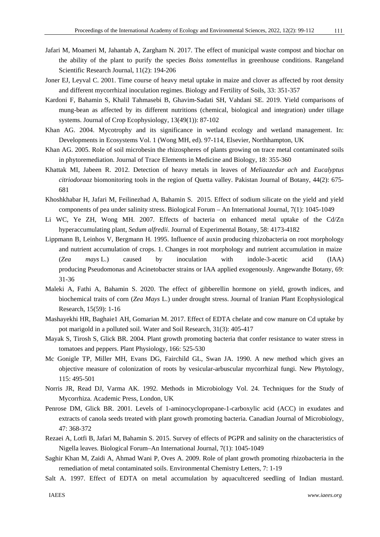- Jafari M, Moameri M, Jahantab A, Zargham N. 2017. The effect of municipal waste compost and biochar on the ability of the plant to purify the species *Boiss tomentellus* in greenhouse conditions. Rangeland Scientific Research Journal, 11(2): 194-206
- Joner EJ, Leyval C. 2001. Time course of heavy metal uptake in maize and clover as affected by root density and different mycorrhizal inoculation regimes. Biology and Fertility of Soils, 33: 351-357
- Kardoni F, Bahamin S, Khalil Tahmasebi B, Ghavim-Sadati SH, Vahdani SE. 2019. Yield comparisons of mung-bean as affected by its different nutritions (chemical, biological and integration) under tillage systems. Journal of Crop Ecophysiology, 13(49(1)): 87-102
- Khan AG. 2004. Mycotrophy and its significance in wetland ecology and wetland management. In: Developments in Ecosystems Vol. 1 (Wong MH, ed). 97-114, Elsevier, Northhampton, UK
- Khan AG. 2005. Role of soil microbesin the rhizospheres of plants growing on trace metal contaminated soils in phytoremediation. Journal of Trace Elements in Medicine and Biology, 18: 355-360
- Khattak MI, Jabeen R. 2012. Detection of heavy metals in leaves of *Meliaazedar ach* and *Eucalyptus citriodoraaz* biomonitoring tools in the region of Quetta valley. Pakistan Journal of Botany, 44(2): 675- 681
- Khoshkhabar H, Jafari M, Feilinezhad A, Bahamin S. 2015. Effect of sodium silicate on the yield and yield components of pea under salinity stress. Biological Forum – An International Journal, 7(1): 1045-1049
- Li WC, Ye ZH, Wong MH. 2007. Effects of bacteria on enhanced metal uptake of the Cd/Zn hyperaccumulating plant, *Sedum alfredii*. Journal of Experimental Botany, 58: 4173-4182
- Lippmann B, Leinhos V, Bergmann H. 1995. Influence of auxin producing rhizobacteria on root morphology and nutrient accumulation of crops. 1. Changes in root morphology and nutrient accumulation in maize (*Zea mays* L.) caused by inoculation with indole-3-acetic acid (IAA) producing Pseudomonas and Acinetobacter strains or IAA applied exogenously. Angewandte Botany, 69: 31-36
- Maleki A, Fathi A, Bahamin S. 2020. The effect of gibberellin hormone on yield, growth indices, and biochemical traits of corn (*Zea Mays* L.) under drought stress. Journal of Iranian Plant Ecophysiological Research, 15(59): 1-16
- Mashayekhi HR, Baghaie1 AH, Gomarian M. 2017. Effect of EDTA chelate and cow manure on Cd uptake by pot marigold in a polluted soil. Water and Soil Research, 31(3): 405-417
- Mayak S, Tirosh S, Glick BR. 2004. Plant growth promoting bacteria that confer resistance to water stress in tomatoes and peppers. Plant Physiology, 166: 525-530
- Mc Gonigle TP, Miller MH, Evans DG, Fairchild GL, Swan JA. 1990. A new method which gives an objective measure of colonization of roots by vesicular-arbuscular mycorrhizal fungi. New Phytology, 115: 495-501
- Norris JR, Read DJ, Varma AK. 1992. Methods in Microbiology Vol. 24. Techniques for the Study of Mycorrhiza. Academic Press, London, UK
- Penrose DM, Glick BR. 2001. Levels of 1-aminocyclopropane-1-carboxylic acid (ACC) in exudates and extracts of canola seeds treated with plant growth promoting bacteria. Canadian Journal of Microbiology, 47: 368-372
- Rezaei A, Lotfi B, Jafari M, Bahamin S. 2015. Survey of effects of PGPR and salinity on the characteristics of Nigella leaves. Biological Forum–An International Journal, 7(1): 1045-1049
- Saghir Khan M, Zaidi A, Ahmad Wani P, Oves A. 2009. Role of plant growth promoting rhizobacteria in the remediation of metal contaminated soils. Environmental Chemistry Letters, 7: 1-19
- Salt A. 1997. Effect of EDTA on metal accumulation by aquacultcered seedling of Indian mustard.